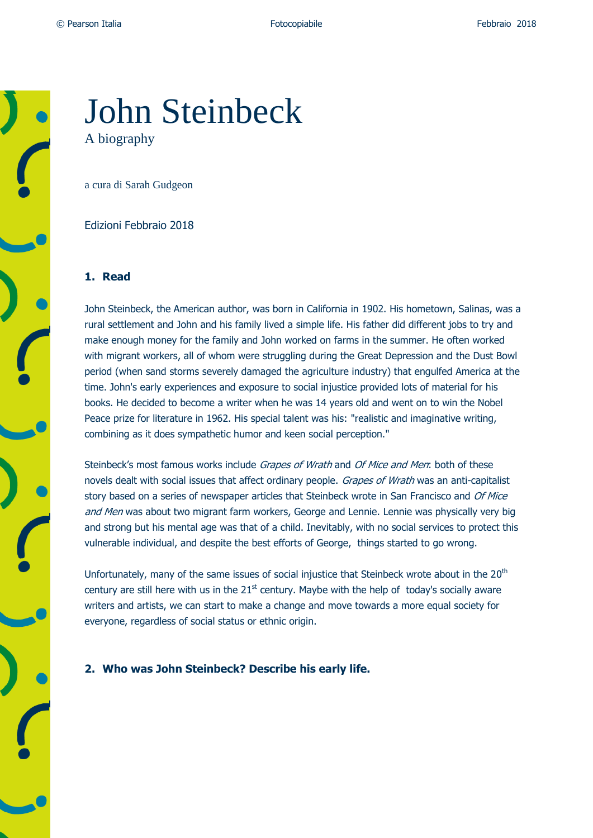# John Steinbeck A biography

a cura di Sarah Gudgeon

Edizioni Febbraio 2018

#### **1. Read**

John Steinbeck, the American author, was born in California in 1902. His hometown, Salinas, was a rural settlement and John and his family lived a simple life. His father did different jobs to try and make enough money for the family and John worked on farms in the summer. He often worked with migrant workers, all of whom were struggling during the Great Depression and the Dust Bowl period (when sand storms severely damaged the agriculture industry) that engulfed America at the time. John's early experiences and exposure to social injustice provided lots of material for his books. He decided to become a writer when he was 14 years old and went on to win the Nobel Peace prize for literature in 1962. His special talent was his: "realistic and imaginative writing, combining as it does sympathetic humor and keen social perception."

Steinbeck's most famous works include Grapes of Wrath and Of Mice and Men: both of these novels dealt with social issues that affect ordinary people. Grapes of Wrath was an anti-capitalist story based on a series of newspaper articles that Steinbeck wrote in San Francisco and Of Mice and Men was about two migrant farm workers, George and Lennie. Lennie was physically very big and strong but his mental age was that of a child. Inevitably, with no social services to protect this vulnerable individual, and despite the best efforts of George, things started to go wrong.

Unfortunately, many of the same issues of social injustice that Steinbeck wrote about in the 20<sup>th</sup> century are still here with us in the  $21<sup>st</sup>$  century. Maybe with the help of today's socially aware writers and artists, we can start to make a change and move towards a more equal society for everyone, regardless of social status or ethnic origin.

**2. Who was John Steinbeck? Describe his early life.**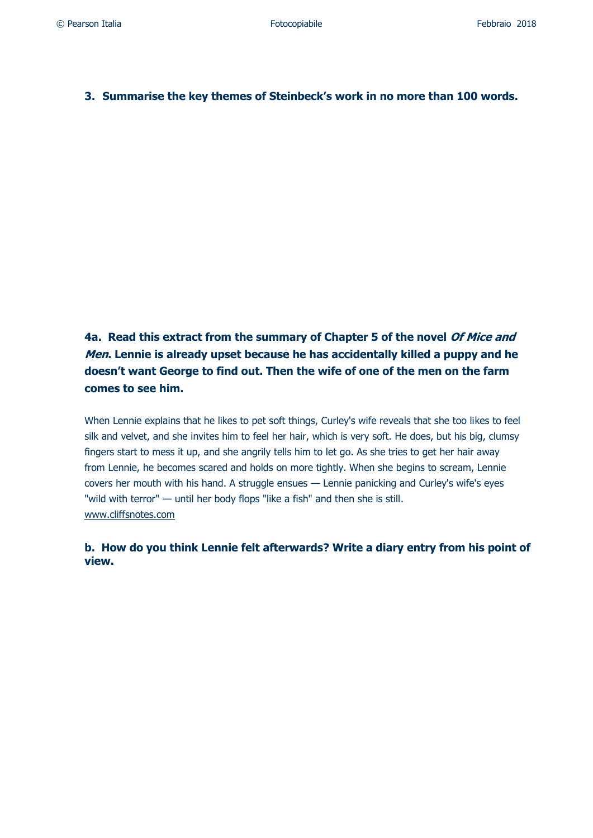## **3. Summarise the key themes of Steinbeck's work in no more than 100 words.**

**4a. Read this extract from the summary of Chapter 5 of the novel Of Mice and Men. Lennie is already upset because he has accidentally killed a puppy and he doesn't want George to find out. Then the wife of one of the men on the farm comes to see him.**

When Lennie explains that he likes to pet soft things, Curley's wife reveals that she too likes to feel silk and velvet, and she invites him to feel her hair, which is very soft. He does, but his big, clumsy fingers start to mess it up, and she angrily tells him to let go. As she tries to get her hair away from Lennie, he becomes scared and holds on more tightly. When she begins to scream, Lennie covers her mouth with his hand. A struggle ensues — Lennie panicking and Curley's wife's eyes "wild with terror" — until her body flops "like a fish" and then she is still. [www.cliffsnotes.com](http://www.cliffsnotes.com/)

**b. How do you think Lennie felt afterwards? Write a diary entry from his point of view.**